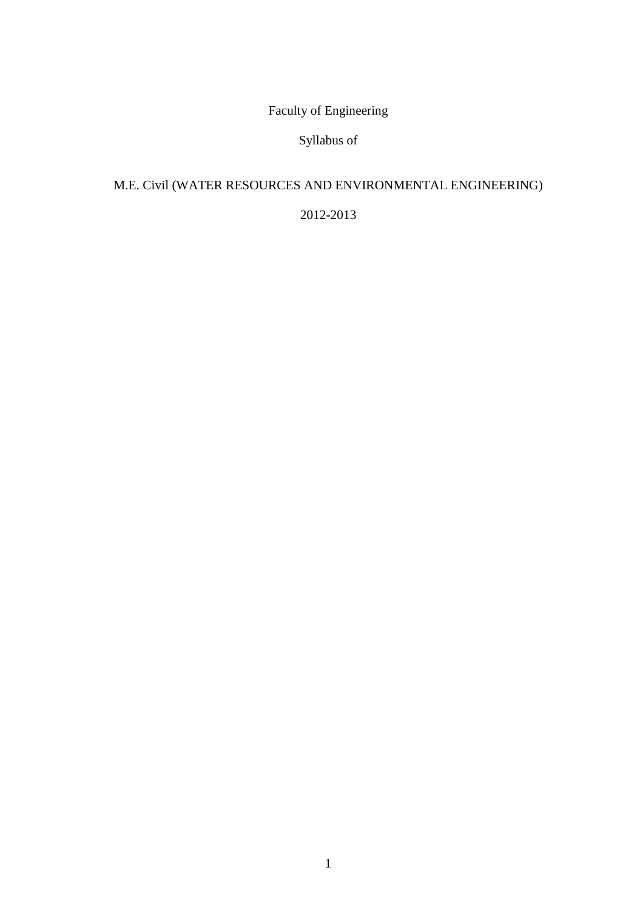Faculty of Engineering

Syllabus of

# M.E. Civil (WATER RESOURCES AND ENVIRONMENTAL ENGINEERING)

2012-2013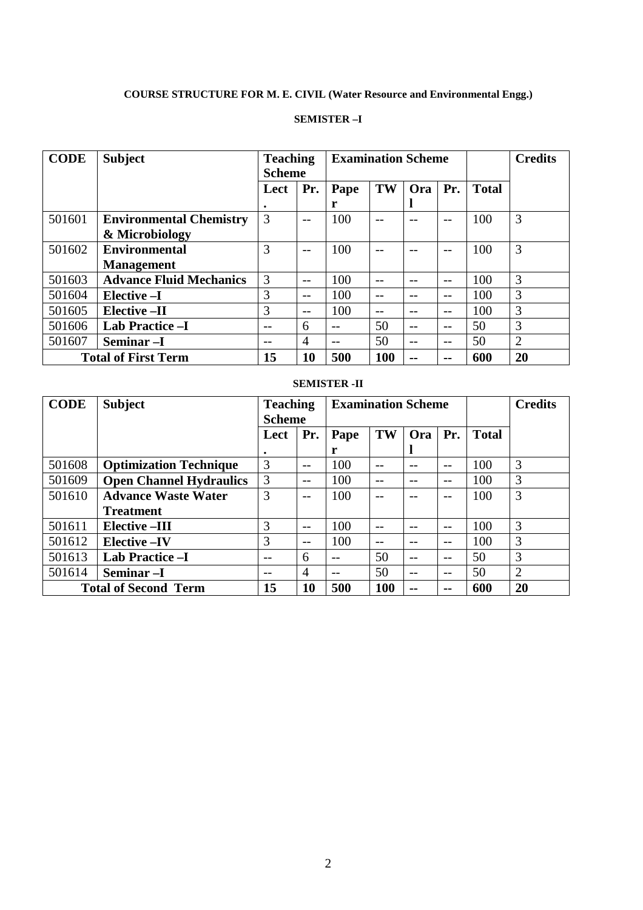# **COURSE STRUCTURE FOR M. E. CIVIL (Water Resource and Environmental Engg.)**

#### **SEMISTER –I**

| <b>CODE</b> | <b>Subject</b>                 | <b>Teaching</b><br><b>Scheme</b> |       | <b>Examination Scheme</b> |      |            | <b>Credits</b> |              |    |
|-------------|--------------------------------|----------------------------------|-------|---------------------------|------|------------|----------------|--------------|----|
|             |                                | Lect                             | Pr.   | Pape                      | TW   | <b>Ora</b> | Pr.            | <b>Total</b> |    |
|             |                                |                                  |       | r                         |      |            |                |              |    |
| 501601      | <b>Environmental Chemistry</b> | 3                                | $- -$ | 100                       |      |            | --             | 100          | 3  |
|             | & Microbiology                 |                                  |       |                           |      |            |                |              |    |
| 501602      | <b>Environmental</b>           | 3                                | $- -$ | 100                       |      |            |                | 100          | 3  |
|             | <b>Management</b>              |                                  |       |                           |      |            |                |              |    |
| 501603      | <b>Advance Fluid Mechanics</b> | 3                                | $-$   | 100                       | $ -$ | $ -$       | $- -$          | 100          | 3  |
| 501604      | Elective -I                    | 3                                | $-$   | 100                       |      |            | --             | 100          | 3  |
| 501605      | <b>Elective-II</b>             | 3                                | --    | 100                       |      |            | --             | 100          | 3  |
| 501606      | <b>Lab Practice -I</b>         | --                               | 6     |                           | 50   |            | $- -$          | 50           | 3  |
| 501607      | Seminar <sub>-I</sub>          |                                  | 4     | $- -$                     | 50   | $- -$      | $- -$          | 50           | 2  |
|             | <b>Total of First Term</b>     | 15                               | 10    | 500                       | 100  |            | --             | 600          | 20 |

#### **SEMISTER -II**

| <b>CODE</b> | <b>Subject</b>                 | <b>Teaching</b><br><b>Scheme</b> |       | <b>Examination Scheme</b> |            |     |       |              | <b>Credits</b> |
|-------------|--------------------------------|----------------------------------|-------|---------------------------|------------|-----|-------|--------------|----------------|
|             |                                | Lect                             | Pr.   | Pape                      | TW         | Ora | Pr.   | <b>Total</b> |                |
|             |                                | ٠                                |       | r                         |            |     |       |              |                |
| 501608      | <b>Optimization Technique</b>  | 3                                | $-$   | 100                       |            |     | --    | 100          | 3              |
| 501609      | <b>Open Channel Hydraulics</b> | 3                                | $- -$ | 100                       |            |     | $- -$ | 100          | 3              |
| 501610      | <b>Advance Waste Water</b>     | 3                                | $- -$ | 100                       | $ -$       |     | --    | 100          | 3              |
|             | <b>Treatment</b>               |                                  |       |                           |            |     |       |              |                |
| 501611      | <b>Elective-III</b>            | 3                                | $-$   | 100                       | $ -$       |     | $-$   | 100          | 3              |
| 501612      | <b>Elective -IV</b>            | 3                                | $- -$ | 100                       | $ -$       | --  | $-$   | 100          | 3              |
| 501613      | <b>Lab Practice -I</b>         |                                  | 6     |                           | 50         |     | $- -$ | 50           | 3              |
| 501614      | Seminar -I                     |                                  | 4     |                           | 50         | --  | $- -$ | 50           | 2              |
|             | <b>Total of Second Term</b>    | 15                               | 10    | 500                       | <b>100</b> | --  | $-$   | 600          | 20             |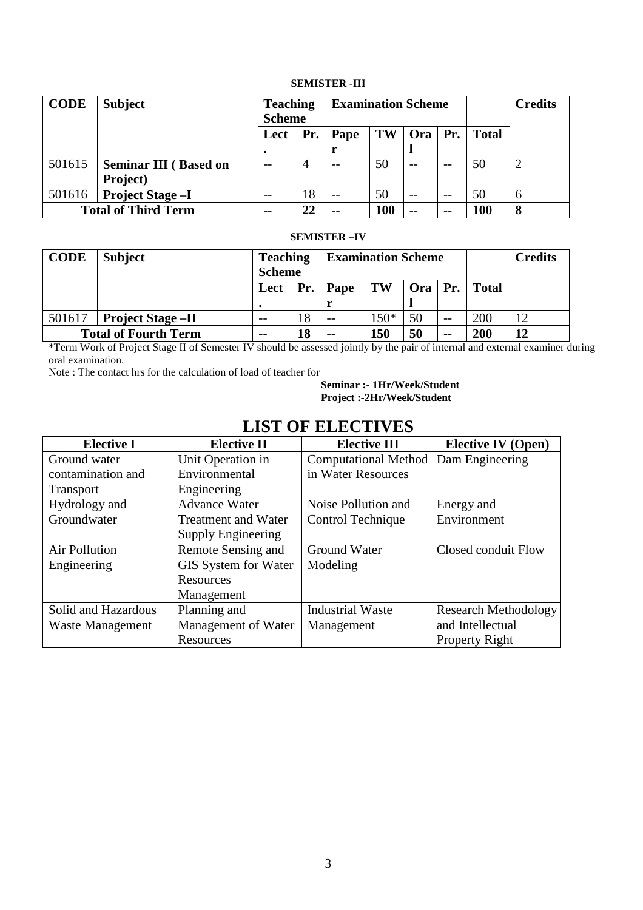#### **SEMISTER -III**

| <b>CODE</b> | <b>Subject</b>               | <b>Teaching</b><br><b>Scheme</b> |     | <b>Examination Scheme</b> |     |           | <b>Credits</b> |              |               |
|-------------|------------------------------|----------------------------------|-----|---------------------------|-----|-----------|----------------|--------------|---------------|
|             |                              | Lect                             | Pr. | Pape                      | TW  | Ora   Pr. |                | <b>Total</b> |               |
|             |                              |                                  |     |                           |     |           |                |              |               |
| 501615      | <b>Seminar III</b> (Based on | $ -$                             | 4   | $ -$                      | 50  | $ -$      | $- -$          | 50           | $\mathcal{D}$ |
|             | Project)                     |                                  |     |                           |     |           |                |              |               |
| 501616      | <b>Project Stage -I</b>      |                                  | 18  | $- -$                     | 50  | $ -$      | $ -$           | 50           | 6             |
|             | <b>Total of Third Term</b>   | $\sim$ $\sim$                    | 22  | $- -$                     | 100 | --        | --             | 100          | 8             |

#### **SEMISTER –IV**

| <b>CODE</b>                 | <b>Subject</b>           | <b>Teaching</b><br><b>Scheme</b> |    | <b>Examination Scheme</b> |        |                                 | <b>Credits</b> |              |    |
|-----------------------------|--------------------------|----------------------------------|----|---------------------------|--------|---------------------------------|----------------|--------------|----|
|                             |                          | Lect                             |    | Pr.   Pape                | TW     | $\vert$ Ora $\vert$ Pr. $\vert$ |                | <b>Total</b> |    |
|                             |                          |                                  |    |                           |        |                                 |                |              |    |
| 501617                      | <b>Project Stage -II</b> | $- -$                            | 18 | $- -$                     | $150*$ | 50                              | --             | 200          | 12 |
| <b>Total of Fourth Term</b> |                          | $- -$                            | 18 | $- -$                     | 150    | 50                              | $- -$          | 200          | 12 |

\*Term Work of Project Stage II of Semester IV should be assessed jointly by the pair of internal and external examiner during oral examination.

Note : The contact hrs for the calculation of load of teacher for

 **Seminar :- 1Hr/Week/Student Project :-2Hr/Week/Student** 

# **LIST OF ELECTIVES**

| <b>Elective I</b>    | <b>Elective II</b>          | <b>Elective III</b>         | <b>Elective IV (Open)</b>   |
|----------------------|-----------------------------|-----------------------------|-----------------------------|
| Ground water         | Unit Operation in           | <b>Computational Method</b> | Dam Engineering             |
| contamination and    | Environmental               | in Water Resources          |                             |
| <b>Transport</b>     | Engineering                 |                             |                             |
| Hydrology and        | <b>Advance Water</b>        | Noise Pollution and         | Energy and                  |
| Groundwater          | <b>Treatment and Water</b>  | Control Technique           | Environment                 |
|                      | Supply Engineering          |                             |                             |
| <b>Air Pollution</b> | Remote Sensing and          | Ground Water                | Closed conduit Flow         |
| Engineering          | <b>GIS System for Water</b> | Modeling                    |                             |
|                      | Resources                   |                             |                             |
|                      | Management                  |                             |                             |
| Solid and Hazardous  | Planning and                | <b>Industrial Waste</b>     | <b>Research Methodology</b> |
| Waste Management     | Management of Water         | Management                  | and Intellectual            |
|                      | Resources                   |                             | <b>Property Right</b>       |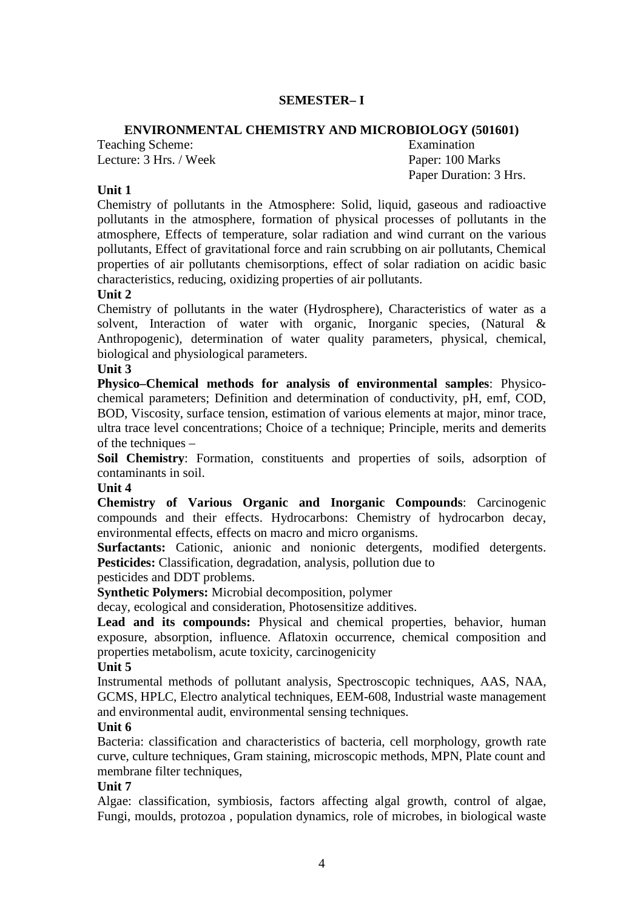### **SEMESTER– I**

### **ENVIRONMENTAL CHEMISTRY AND MICROBIOLOGY (501601)**

Teaching Scheme: Examination Lecture: 3 Hrs. / Week Paper: 100 Marks

Paper Duration: 3 Hrs.

### **Unit 1**

Chemistry of pollutants in the Atmosphere: Solid, liquid, gaseous and radioactive pollutants in the atmosphere, formation of physical processes of pollutants in the atmosphere, Effects of temperature, solar radiation and wind currant on the various pollutants, Effect of gravitational force and rain scrubbing on air pollutants, Chemical properties of air pollutants chemisorptions, effect of solar radiation on acidic basic characteristics, reducing, oxidizing properties of air pollutants.

### **Unit 2**

Chemistry of pollutants in the water (Hydrosphere), Characteristics of water as a solvent, Interaction of water with organic, Inorganic species, (Natural & Anthropogenic), determination of water quality parameters, physical, chemical, biological and physiological parameters.

#### **Unit 3**

**Physico–Chemical methods for analysis of environmental samples**: Physicochemical parameters; Definition and determination of conductivity, pH, emf, COD, BOD, Viscosity, surface tension, estimation of various elements at major, minor trace, ultra trace level concentrations; Choice of a technique; Principle, merits and demerits of the techniques –

**Soil Chemistry**: Formation, constituents and properties of soils, adsorption of contaminants in soil.

### **Unit 4**

**Chemistry of Various Organic and Inorganic Compounds**: Carcinogenic compounds and their effects. Hydrocarbons: Chemistry of hydrocarbon decay, environmental effects, effects on macro and micro organisms.

**Surfactants:** Cationic, anionic and nonionic detergents, modified detergents. **Pesticides:** Classification, degradation, analysis, pollution due to

pesticides and DDT problems.

**Synthetic Polymers:** Microbial decomposition, polymer

decay, ecological and consideration, Photosensitize additives.

Lead and its compounds: Physical and chemical properties, behavior, human exposure, absorption, influence. Aflatoxin occurrence, chemical composition and properties metabolism, acute toxicity, carcinogenicity

### **Unit 5**

Instrumental methods of pollutant analysis, Spectroscopic techniques, AAS, NAA, GCMS, HPLC, Electro analytical techniques, EEM-608, Industrial waste management and environmental audit, environmental sensing techniques.

### **Unit 6**

Bacteria: classification and characteristics of bacteria, cell morphology, growth rate curve, culture techniques, Gram staining, microscopic methods, MPN, Plate count and membrane filter techniques,

### **Unit 7**

Algae: classification, symbiosis, factors affecting algal growth, control of algae, Fungi, moulds, protozoa , population dynamics, role of microbes, in biological waste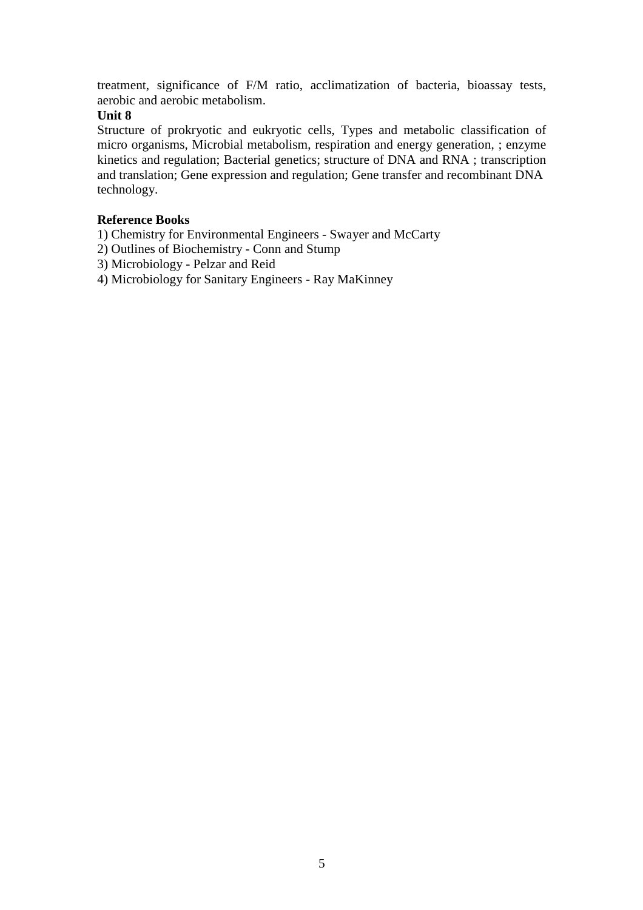treatment, significance of F/M ratio, acclimatization of bacteria, bioassay tests, aerobic and aerobic metabolism.

# **Unit 8**

Structure of prokryotic and eukryotic cells, Types and metabolic classification of micro organisms, Microbial metabolism, respiration and energy generation, ; enzyme kinetics and regulation; Bacterial genetics; structure of DNA and RNA ; transcription and translation; Gene expression and regulation; Gene transfer and recombinant DNA technology.

### **Reference Books**

1) Chemistry for Environmental Engineers - Swayer and McCarty

- 2) Outlines of Biochemistry Conn and Stump
- 3) Microbiology Pelzar and Reid
- 4) Microbiology for Sanitary Engineers Ray MaKinney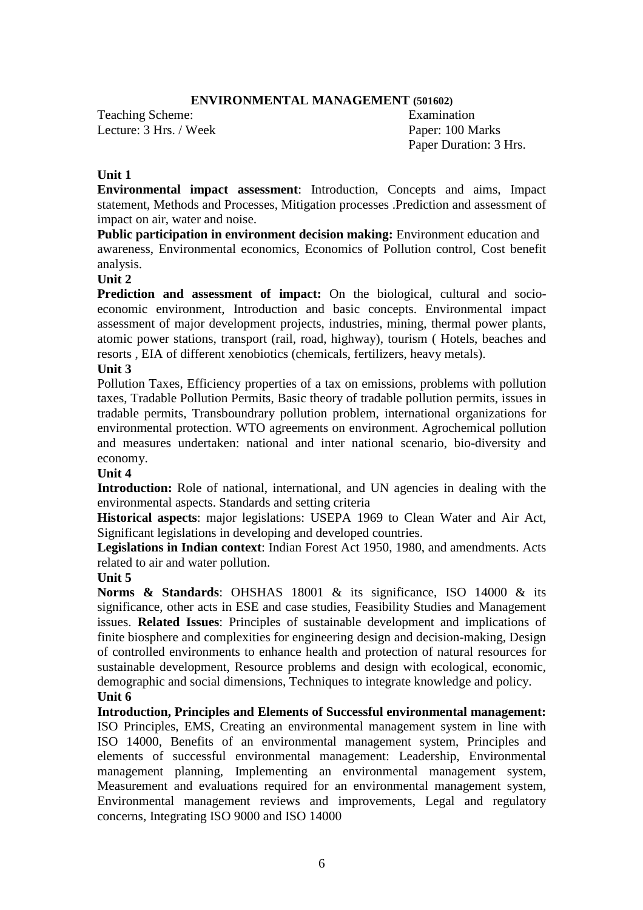### **ENVIRONMENTAL MANAGEMENT (501602)**

Teaching Scheme: Examination Lecture: 3 Hrs. / Week Paper: 100 Marks

Paper Duration: 3 Hrs.

### **Unit 1**

**Environmental impact assessment**: Introduction, Concepts and aims, Impact statement, Methods and Processes, Mitigation processes .Prediction and assessment of impact on air, water and noise.

**Public participation in environment decision making:** Environment education and awareness, Environmental economics, Economics of Pollution control, Cost benefit analysis.

# **Unit 2**

**Prediction and assessment of impact:** On the biological, cultural and socioeconomic environment, Introduction and basic concepts. Environmental impact assessment of major development projects, industries, mining, thermal power plants, atomic power stations, transport (rail, road, highway), tourism ( Hotels, beaches and resorts , EIA of different xenobiotics (chemicals, fertilizers, heavy metals).

### **Unit 3**

Pollution Taxes, Efficiency properties of a tax on emissions, problems with pollution taxes, Tradable Pollution Permits, Basic theory of tradable pollution permits, issues in tradable permits, Transboundrary pollution problem, international organizations for environmental protection. WTO agreements on environment. Agrochemical pollution and measures undertaken: national and inter national scenario, bio-diversity and economy.

### **Unit 4**

**Introduction:** Role of national, international, and UN agencies in dealing with the environmental aspects. Standards and setting criteria

**Historical aspects**: major legislations: USEPA 1969 to Clean Water and Air Act, Significant legislations in developing and developed countries.

**Legislations in Indian context**: Indian Forest Act 1950, 1980, and amendments. Acts related to air and water pollution.

### **Unit 5**

**Norms & Standards**: OHSHAS 18001 & its significance, ISO 14000 & its significance, other acts in ESE and case studies, Feasibility Studies and Management issues. **Related Issues**: Principles of sustainable development and implications of finite biosphere and complexities for engineering design and decision-making, Design of controlled environments to enhance health and protection of natural resources for sustainable development, Resource problems and design with ecological, economic, demographic and social dimensions, Techniques to integrate knowledge and policy. **Unit 6** 

**Introduction, Principles and Elements of Successful environmental management:**  ISO Principles, EMS, Creating an environmental management system in line with ISO 14000, Benefits of an environmental management system, Principles and elements of successful environmental management: Leadership, Environmental management planning, Implementing an environmental management system, Measurement and evaluations required for an environmental management system, Environmental management reviews and improvements, Legal and regulatory concerns, Integrating ISO 9000 and ISO 14000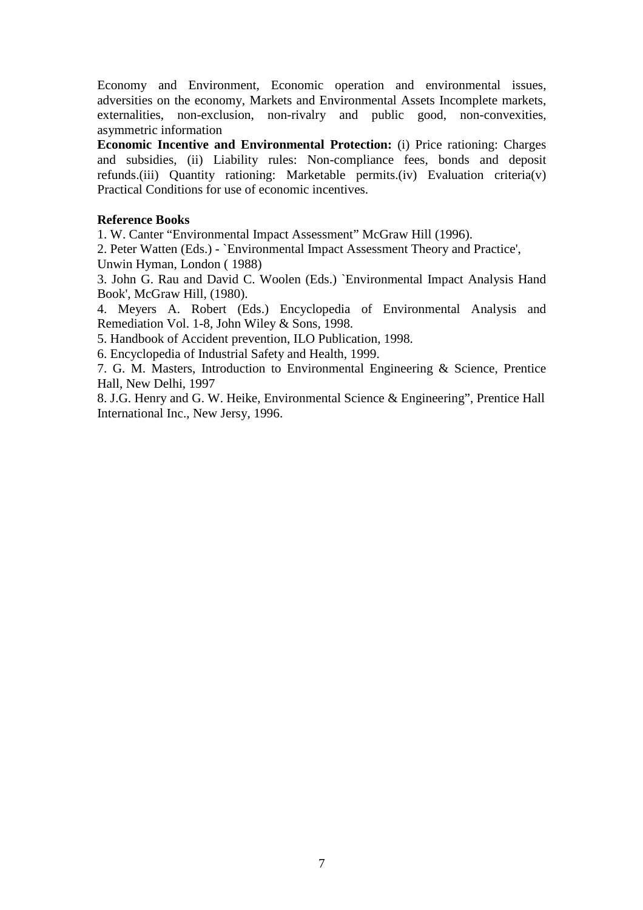Economy and Environment, Economic operation and environmental issues, adversities on the economy, Markets and Environmental Assets Incomplete markets, externalities, non-exclusion, non-rivalry and public good, non-convexities, asymmetric information

**Economic Incentive and Environmental Protection:** (i) Price rationing: Charges and subsidies, (ii) Liability rules: Non-compliance fees, bonds and deposit refunds.(iii) Quantity rationing: Marketable permits.(iv) Evaluation criteria(v) Practical Conditions for use of economic incentives.

### **Reference Books**

1. W. Canter "Environmental Impact Assessment" McGraw Hill (1996).

2. Peter Watten (Eds.) - `Environmental Impact Assessment Theory and Practice', Unwin Hyman, London ( 1988)

3. John G. Rau and David C. Woolen (Eds.) `Environmental Impact Analysis Hand Book', McGraw Hill, (1980).

4. Meyers A. Robert (Eds.) Encyclopedia of Environmental Analysis and Remediation Vol. 1-8, John Wiley & Sons, 1998.

5. Handbook of Accident prevention, ILO Publication, 1998.

6. Encyclopedia of Industrial Safety and Health, 1999.

7. G. M. Masters, Introduction to Environmental Engineering & Science, Prentice Hall, New Delhi, 1997

8. J.G. Henry and G. W. Heike, Environmental Science & Engineering", Prentice Hall International Inc., New Jersy, 1996.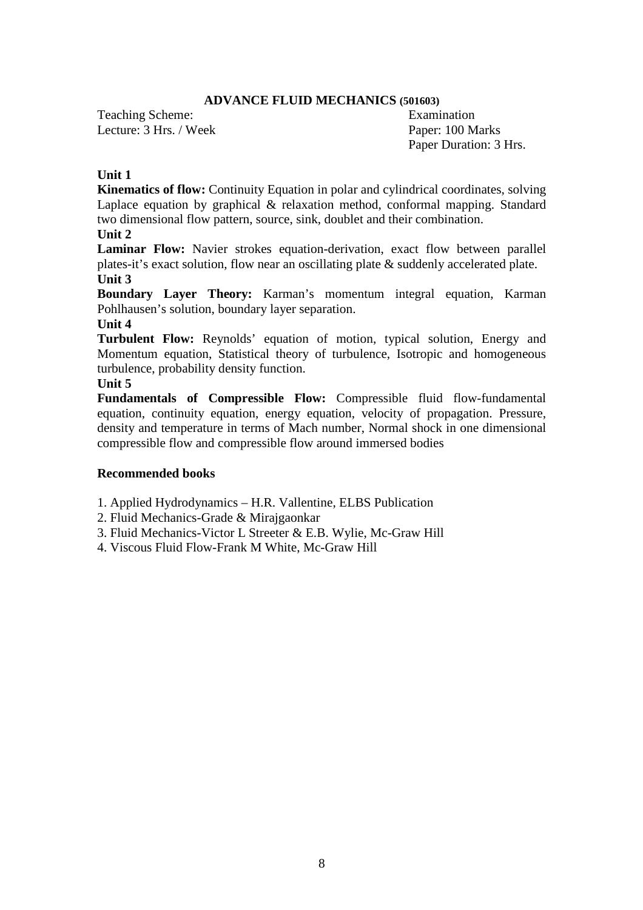#### **ADVANCE FLUID MECHANICS (501603)**

Teaching Scheme: Examination Lecture: 3 Hrs. / Week Paper: 100 Marks

Paper Duration: 3 Hrs.

### **Unit 1**

**Kinematics of flow:** Continuity Equation in polar and cylindrical coordinates, solving Laplace equation by graphical & relaxation method, conformal mapping. Standard two dimensional flow pattern, source, sink, doublet and their combination.

### **Unit 2**

**Laminar Flow:** Navier strokes equation-derivation, exact flow between parallel plates-it's exact solution, flow near an oscillating plate & suddenly accelerated plate. **Unit 3** 

**Boundary Layer Theory:** Karman's momentum integral equation, Karman Pohlhausen's solution, boundary layer separation.

#### **Unit 4**

**Turbulent Flow:** Reynolds' equation of motion, typical solution, Energy and Momentum equation, Statistical theory of turbulence, Isotropic and homogeneous turbulence, probability density function.

### **Unit 5**

**Fundamentals of Compressible Flow:** Compressible fluid flow-fundamental equation, continuity equation, energy equation, velocity of propagation. Pressure, density and temperature in terms of Mach number, Normal shock in one dimensional compressible flow and compressible flow around immersed bodies

### **Recommended books**

1. Applied Hydrodynamics – H.R. Vallentine, ELBS Publication

2. Fluid Mechanics-Grade & Mirajgaonkar

3. Fluid Mechanics-Victor L Streeter & E.B. Wylie, Mc-Graw Hill

4. Viscous Fluid Flow-Frank M White, Mc-Graw Hill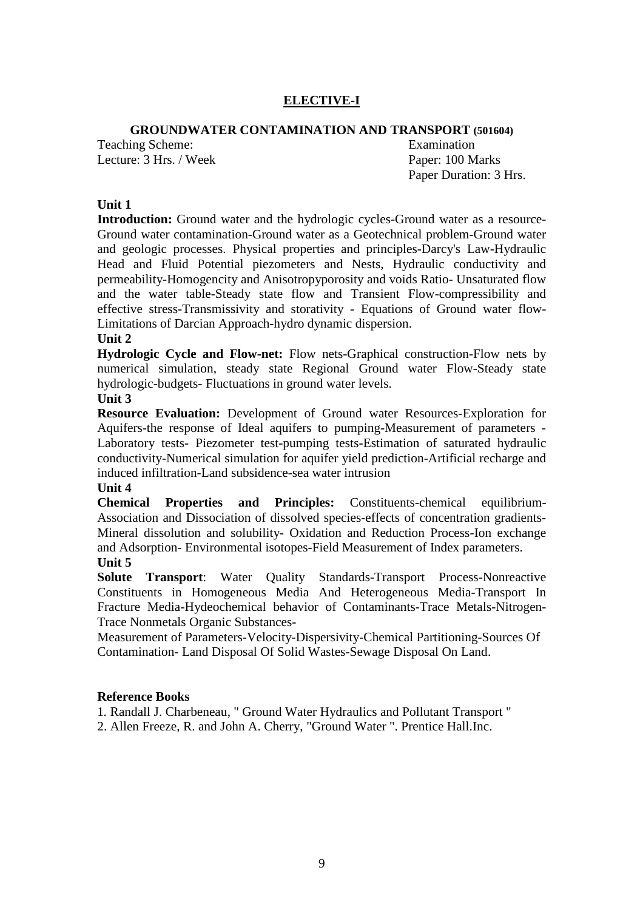# **ELECTIVE-I**

### **GROUNDWATER CONTAMINATION AND TRANSPORT (501604)**

Teaching Scheme: Examination Lecture: 3 Hrs. / Week Paper: 100 Marks

Paper Duration: 3 Hrs.

### **Unit 1**

**Introduction:** Ground water and the hydrologic cycles-Ground water as a resource-Ground water contamination-Ground water as a Geotechnical problem-Ground water and geologic processes. Physical properties and principles-Darcy's Law-Hydraulic Head and Fluid Potential piezometers and Nests, Hydraulic conductivity and permeability-Homogencity and Anisotropyporosity and voids Ratio- Unsaturated flow and the water table-Steady state flow and Transient Flow-compressibility and effective stress-Transmissivity and storativity - Equations of Ground water flow-Limitations of Darcian Approach-hydro dynamic dispersion.

#### **Unit 2**

**Hydrologic Cycle and Flow-net:** Flow nets-Graphical construction-Flow nets by numerical simulation, steady state Regional Ground water Flow-Steady state hydrologic-budgets- Fluctuations in ground water levels. **Unit 3** 

# **Resource Evaluation:** Development of Ground water Resources-Exploration for Aquifers-the response of Ideal aquifers to pumping-Measurement of parameters - Laboratory tests- Piezometer test-pumping tests-Estimation of saturated hydraulic

conductivity-Numerical simulation for aquifer yield prediction-Artificial recharge and induced infiltration-Land subsidence-sea water intrusion

### **Unit 4**

**Chemical Properties and Principles:** Constituents-chemical equilibrium-Association and Dissociation of dissolved species-effects of concentration gradients-Mineral dissolution and solubility- Oxidation and Reduction Process-Ion exchange and Adsorption- Environmental isotopes-Field Measurement of Index parameters. **Unit 5** 

**Solute Transport**: Water Quality Standards-Transport Process-Nonreactive Constituents in Homogeneous Media And Heterogeneous Media-Transport In Fracture Media-Hydeochemical behavior of Contaminants-Trace Metals-Nitrogen-Trace Nonmetals Organic Substances-

Measurement of Parameters-Velocity-Dispersivity-Chemical Partitioning-Sources Of Contamination- Land Disposal Of Solid Wastes-Sewage Disposal On Land.

#### **Reference Books**

1*.* Randall J. Charbeneau, " Ground Water Hydraulics and Pollutant Transport "

2. Allen Freeze, R. and John A. Cherry, "Ground Water ". Prentice Hall.Inc.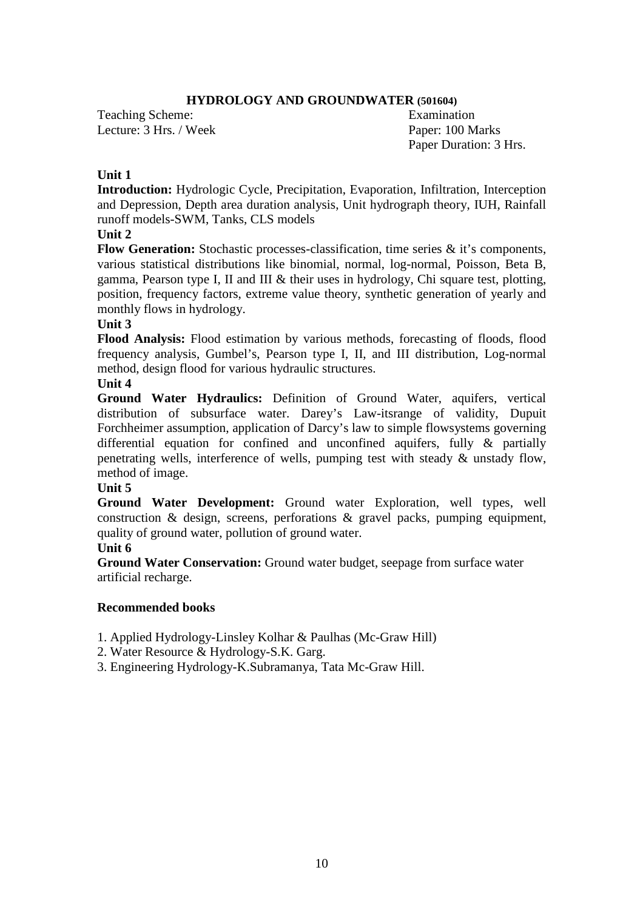### **HYDROLOGY AND GROUNDWATER (501604)**

Teaching Scheme: Examination Lecture: 3 Hrs. / Week Paper: 100 Marks

Paper Duration: 3 Hrs.

### **Unit 1**

**Introduction:** Hydrologic Cycle, Precipitation, Evaporation, Infiltration, Interception and Depression, Depth area duration analysis, Unit hydrograph theory, IUH, Rainfall runoff models-SWM, Tanks, CLS models

# **Unit 2**

**Flow Generation:** Stochastic processes-classification, time series & it's components, various statistical distributions like binomial, normal, log-normal, Poisson, Beta B, gamma, Pearson type I, II and III & their uses in hydrology, Chi square test, plotting, position, frequency factors, extreme value theory, synthetic generation of yearly and monthly flows in hydrology.

### **Unit 3**

**Flood Analysis:** Flood estimation by various methods, forecasting of floods, flood frequency analysis, Gumbel's, Pearson type I, II, and III distribution, Log-normal method, design flood for various hydraulic structures.

### **Unit 4**

**Ground Water Hydraulics:** Definition of Ground Water, aquifers, vertical distribution of subsurface water. Darey's Law-itsrange of validity, Dupuit Forchheimer assumption, application of Darcy's law to simple flowsystems governing differential equation for confined and unconfined aquifers, fully & partially penetrating wells, interference of wells, pumping test with steady & unstady flow, method of image.

### **Unit 5**

**Ground Water Development:** Ground water Exploration, well types, well construction & design, screens, perforations & gravel packs, pumping equipment, quality of ground water, pollution of ground water.

### **Unit 6**

**Ground Water Conservation:** Ground water budget, seepage from surface water artificial recharge.

### **Recommended books**

- 1. Applied Hydrology-Linsley Kolhar & Paulhas (Mc-Graw Hill)
- 2. Water Resource & Hydrology-S.K. Garg.
- 3. Engineering Hydrology-K.Subramanya, Tata Mc-Graw Hill.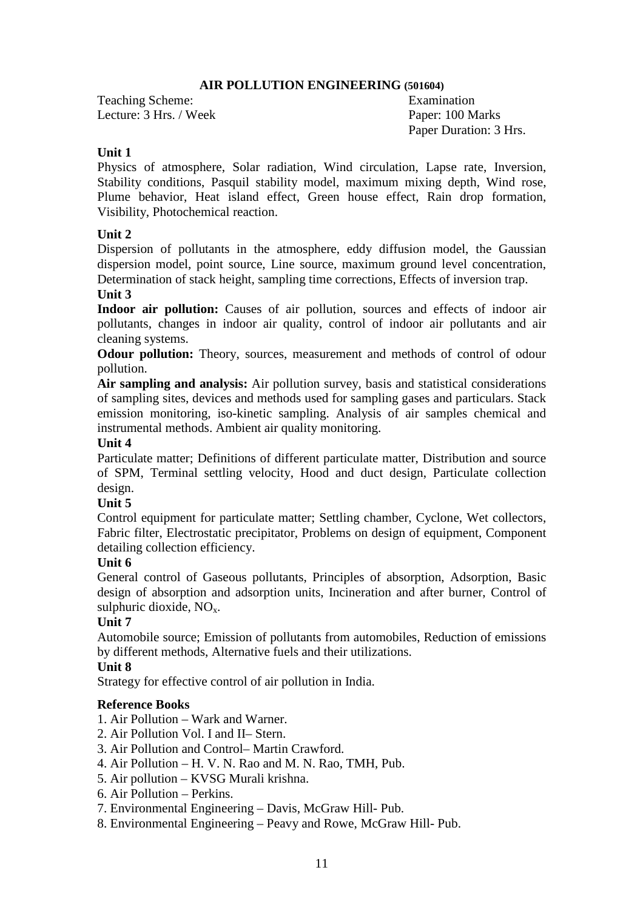### **AIR POLLUTION ENGINEERING (501604)**

Teaching Scheme: Examination Lecture: 3 Hrs. / Week Paper: 100 Marks

Paper Duration: 3 Hrs.

# **Unit 1**

Physics of atmosphere, Solar radiation, Wind circulation, Lapse rate, Inversion, Stability conditions, Pasquil stability model, maximum mixing depth, Wind rose, Plume behavior, Heat island effect, Green house effect, Rain drop formation, Visibility, Photochemical reaction.

# **Unit 2**

Dispersion of pollutants in the atmosphere, eddy diffusion model, the Gaussian dispersion model, point source, Line source, maximum ground level concentration, Determination of stack height, sampling time corrections, Effects of inversion trap.

# **Unit 3**

Indoor air pollution: Causes of air pollution, sources and effects of indoor air pollutants, changes in indoor air quality, control of indoor air pollutants and air cleaning systems.

**Odour pollution:** Theory, sources, measurement and methods of control of odour pollution.

**Air sampling and analysis:** Air pollution survey, basis and statistical considerations of sampling sites, devices and methods used for sampling gases and particulars. Stack emission monitoring, iso-kinetic sampling. Analysis of air samples chemical and instrumental methods. Ambient air quality monitoring.

### **Unit 4**

Particulate matter; Definitions of different particulate matter, Distribution and source of SPM, Terminal settling velocity, Hood and duct design, Particulate collection design.

# **Unit 5**

Control equipment for particulate matter; Settling chamber, Cyclone, Wet collectors, Fabric filter, Electrostatic precipitator, Problems on design of equipment, Component detailing collection efficiency.

# **Unit 6**

General control of Gaseous pollutants, Principles of absorption, Adsorption, Basic design of absorption and adsorption units, Incineration and after burner, Control of sulphuric dioxide,  $NO<sub>x</sub>$ .

# **Unit 7**

Automobile source; Emission of pollutants from automobiles, Reduction of emissions by different methods, Alternative fuels and their utilizations.

# **Unit 8**

Strategy for effective control of air pollution in India.

# **Reference Books**

- 1. Air Pollution Wark and Warner.
- 2. Air Pollution Vol. I and II– Stern.
- 3. Air Pollution and Control– Martin Crawford.
- 4. Air Pollution H. V. N. Rao and M. N. Rao, TMH, Pub.
- 5. Air pollution KVSG Murali krishna.
- 6. Air Pollution Perkins.
- 7. Environmental Engineering Davis, McGraw Hill- Pub.
- 8. Environmental Engineering Peavy and Rowe, McGraw Hill- Pub.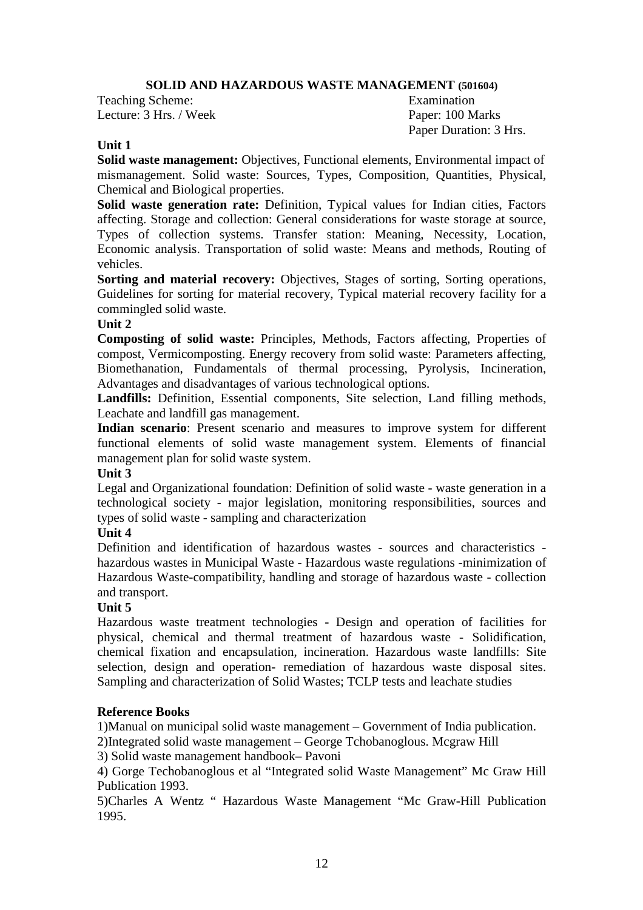# **SOLID AND HAZARDOUS WASTE MANAGEMENT (501604)**

Teaching Scheme: Examination Lecture: 3 Hrs. / Week Paper: 100 Marks

Paper Duration: 3 Hrs.

# **Unit 1**

**Solid waste management:** Objectives, Functional elements, Environmental impact of mismanagement. Solid waste: Sources, Types, Composition, Quantities, Physical, Chemical and Biological properties.

**Solid waste generation rate:** Definition, Typical values for Indian cities, Factors affecting. Storage and collection: General considerations for waste storage at source, Types of collection systems. Transfer station: Meaning, Necessity, Location, Economic analysis. Transportation of solid waste: Means and methods, Routing of vehicles.

**Sorting and material recovery:** Objectives, Stages of sorting, Sorting operations, Guidelines for sorting for material recovery, Typical material recovery facility for a commingled solid waste.

### **Unit 2**

**Composting of solid waste:** Principles, Methods, Factors affecting, Properties of compost, Vermicomposting. Energy recovery from solid waste: Parameters affecting, Biomethanation, Fundamentals of thermal processing, Pyrolysis, Incineration, Advantages and disadvantages of various technological options.

**Landfills:** Definition, Essential components, Site selection, Land filling methods, Leachate and landfill gas management.

**Indian scenario**: Present scenario and measures to improve system for different functional elements of solid waste management system. Elements of financial management plan for solid waste system.

# **Unit 3**

Legal and Organizational foundation: Definition of solid waste - waste generation in a technological society - major legislation, monitoring responsibilities, sources and types of solid waste - sampling and characterization

### **Unit 4**

Definition and identification of hazardous wastes - sources and characteristics hazardous wastes in Municipal Waste - Hazardous waste regulations -minimization of Hazardous Waste-compatibility, handling and storage of hazardous waste - collection and transport.

# **Unit 5**

Hazardous waste treatment technologies - Design and operation of facilities for physical, chemical and thermal treatment of hazardous waste - Solidification, chemical fixation and encapsulation, incineration. Hazardous waste landfills: Site selection, design and operation- remediation of hazardous waste disposal sites. Sampling and characterization of Solid Wastes; TCLP tests and leachate studies

# **Reference Books**

1)Manual on municipal solid waste management – Government of India publication.

2)Integrated solid waste management – George Tchobanoglous. Mcgraw Hill

3) Solid waste management handbook– Pavoni

4) Gorge Techobanoglous et al "Integrated solid Waste Management" Mc Graw Hill Publication 1993.

5)Charles A Wentz " Hazardous Waste Management "Mc Graw-Hill Publication 1995.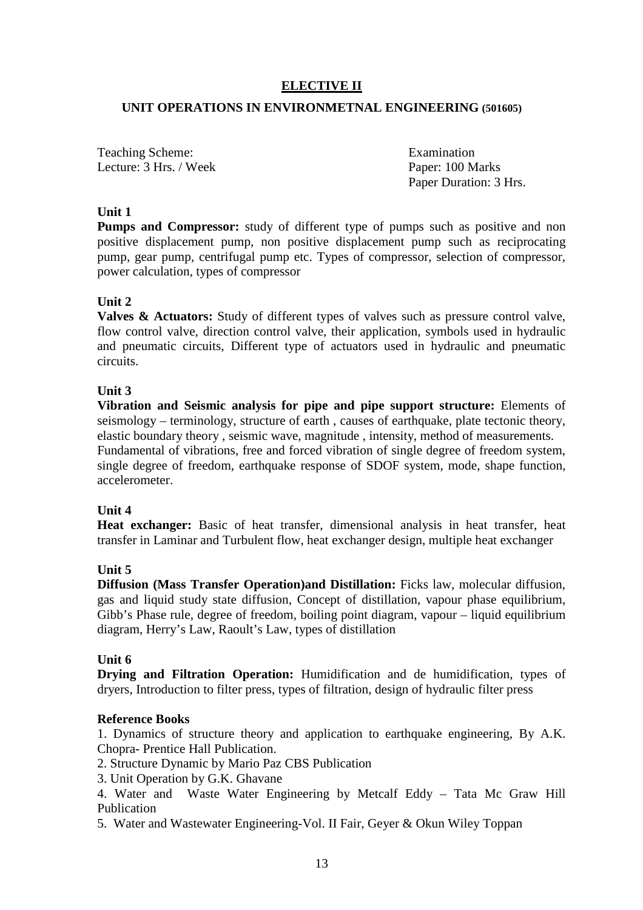# **ELECTIVE II**

### **UNIT OPERATIONS IN ENVIRONMETNAL ENGINEERING (501605)**

Teaching Scheme: Examination Lecture: 3 Hrs. / Week Paper: 100 Marks

Paper Duration: 3 Hrs.

### **Unit 1**

**Pumps and Compressor:** study of different type of pumps such as positive and non positive displacement pump, non positive displacement pump such as reciprocating pump, gear pump, centrifugal pump etc. Types of compressor, selection of compressor, power calculation, types of compressor

# **Unit 2**

**Valves & Actuators:** Study of different types of valves such as pressure control valve, flow control valve, direction control valve, their application, symbols used in hydraulic and pneumatic circuits, Different type of actuators used in hydraulic and pneumatic circuits.

# **Unit 3**

**Vibration and Seismic analysis for pipe and pipe support structure:** Elements of  $s$ eismology – terminology, structure of earth, causes of earthquake, plate tectonic theory, elastic boundary theory , seismic wave, magnitude , intensity, method of measurements. Fundamental of vibrations, free and forced vibration of single degree of freedom system, single degree of freedom, earthquake response of SDOF system, mode, shape function, accelerometer.

### **Unit 4**

**Heat exchanger:** Basic of heat transfer, dimensional analysis in heat transfer, heat transfer in Laminar and Turbulent flow, heat exchanger design, multiple heat exchanger

# **Unit 5**

**Diffusion (Mass Transfer Operation)and Distillation:** Ficks law, molecular diffusion, gas and liquid study state diffusion, Concept of distillation, vapour phase equilibrium, Gibb's Phase rule, degree of freedom, boiling point diagram, vapour – liquid equilibrium diagram, Herry's Law, Raoult's Law, types of distillation

### **Unit 6**

**Drying and Filtration Operation:** Humidification and de humidification, types of dryers, Introduction to filter press, types of filtration, design of hydraulic filter press

### **Reference Books**

1. Dynamics of structure theory and application to earthquake engineering, By A.K. Chopra- Prentice Hall Publication.

2. Structure Dynamic by Mario Paz CBS Publication

3. Unit Operation by G.K. Ghavane

4. Water and Waste Water Engineering by Metcalf Eddy – Tata Mc Graw Hill Publication

5. Water and Wastewater Engineering-Vol. II Fair, Geyer & Okun Wiley Toppan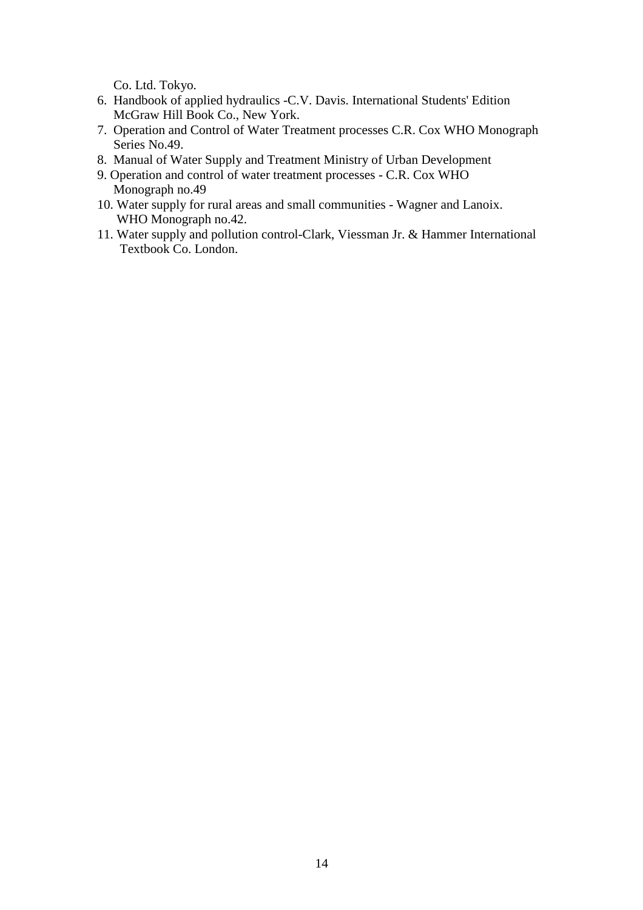Co. Ltd. Tokyo.

- 6. Handbook of applied hydraulics -C.V. Davis. International Students' Edition McGraw Hill Book Co., New York.
- 7. Operation and Control of Water Treatment processes C.R. Cox WHO Monograph Series No.49.
- 8. Manual of Water Supply and Treatment Ministry of Urban Development
- 9. Operation and control of water treatment processes C.R. Cox WHO Monograph no.49
- 10. Water supply for rural areas and small communities Wagner and Lanoix. WHO Monograph no.42.
- 11. Water supply and pollution control-Clark, Viessman Jr. & Hammer International Textbook Co. London.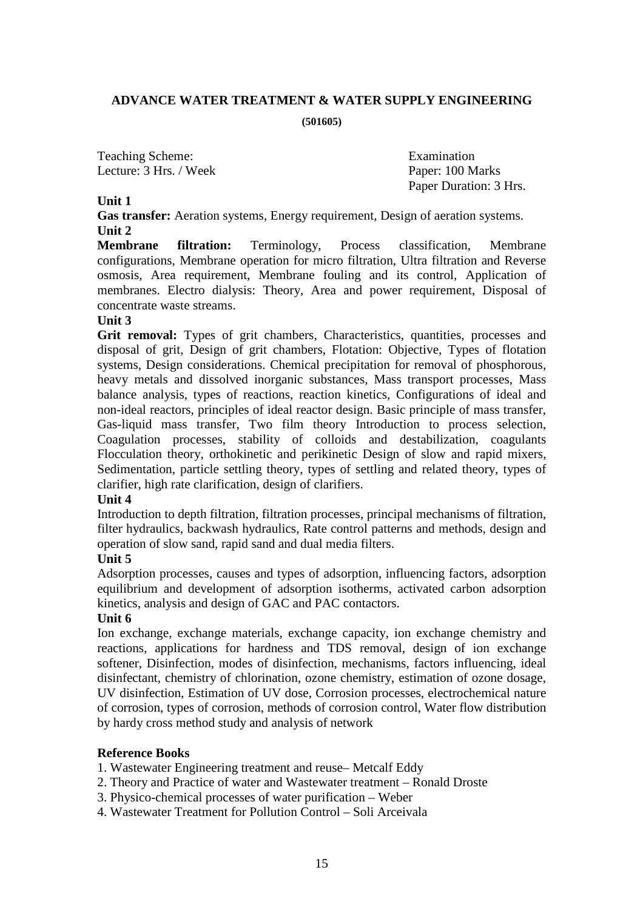### **ADVANCE WATER TREATMENT & WATER SUPPLY ENGINEERING**

**(501605)**

Teaching Scheme: Examination Lecture: 3 Hrs. / Week Paper: 100 Marks

Paper Duration: 3 Hrs.

### **Unit 1**

**Gas transfer:** Aeration systems, Energy requirement, Design of aeration systems. **Unit 2** 

**Membrane filtration:** Terminology, Process classification, Membrane configurations, Membrane operation for micro filtration, Ultra filtration and Reverse osmosis, Area requirement, Membrane fouling and its control, Application of membranes. Electro dialysis: Theory, Area and power requirement, Disposal of concentrate waste streams.

### **Unit 3**

Grit removal: Types of grit chambers, Characteristics, quantities, processes and disposal of grit, Design of grit chambers, Flotation: Objective, Types of flotation systems, Design considerations. Chemical precipitation for removal of phosphorous, heavy metals and dissolved inorganic substances, Mass transport processes, Mass balance analysis, types of reactions, reaction kinetics, Configurations of ideal and non-ideal reactors, principles of ideal reactor design. Basic principle of mass transfer, Gas-liquid mass transfer, Two film theory Introduction to process selection, Coagulation processes, stability of colloids and destabilization, coagulants Flocculation theory, orthokinetic and perikinetic Design of slow and rapid mixers, Sedimentation, particle settling theory, types of settling and related theory, types of clarifier, high rate clarification, design of clarifiers.

### **Unit 4**

Introduction to depth filtration, filtration processes, principal mechanisms of filtration, filter hydraulics, backwash hydraulics, Rate control patterns and methods, design and operation of slow sand, rapid sand and dual media filters.

### **Unit 5**

Adsorption processes, causes and types of adsorption, influencing factors, adsorption equilibrium and development of adsorption isotherms, activated carbon adsorption kinetics, analysis and design of GAC and PAC contactors.

### **Unit 6**

Ion exchange, exchange materials, exchange capacity, ion exchange chemistry and reactions, applications for hardness and TDS removal, design of ion exchange softener, Disinfection, modes of disinfection, mechanisms, factors influencing, ideal disinfectant, chemistry of chlorination, ozone chemistry, estimation of ozone dosage, UV disinfection, Estimation of UV dose, Corrosion processes, electrochemical nature of corrosion, types of corrosion, methods of corrosion control, Water flow distribution by hardy cross method study and analysis of network

### **Reference Books**

- 1. Wastewater Engineering treatment and reuse– Metcalf Eddy
- 2. Theory and Practice of water and Wastewater treatment Ronald Droste
- 3. Physico-chemical processes of water purification Weber
- 4. Wastewater Treatment for Pollution Control Soli Arceivala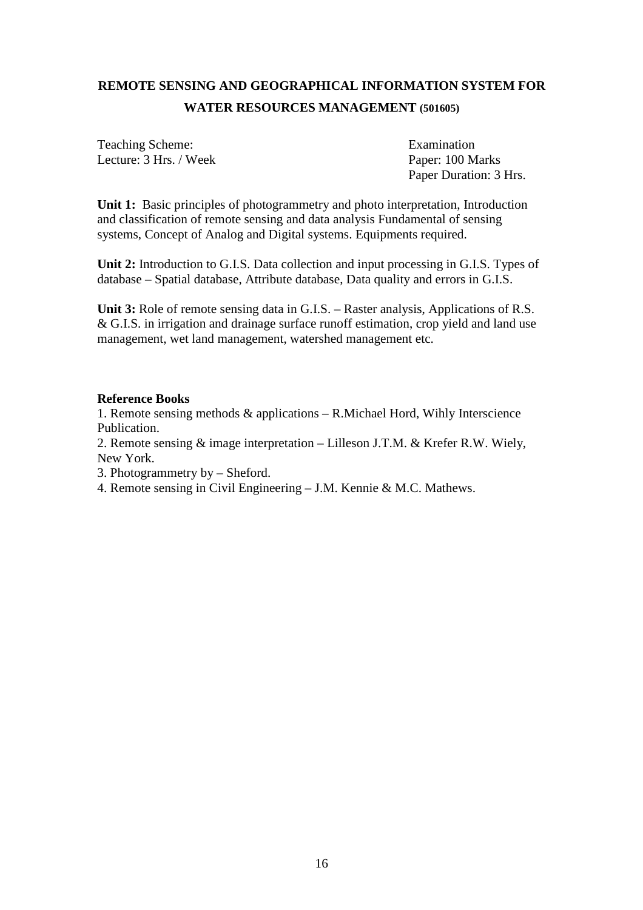# **REMOTE SENSING AND GEOGRAPHICAL INFORMATION SYSTEM FOR WATER RESOURCES MANAGEMENT (501605)**

Teaching Scheme: Examination Lecture: 3 Hrs. / Week Paper: 100 Marks

Paper Duration: 3 Hrs.

**Unit 1:** Basic principles of photogrammetry and photo interpretation, Introduction and classification of remote sensing and data analysis Fundamental of sensing systems, Concept of Analog and Digital systems. Equipments required.

**Unit 2:** Introduction to G.I.S. Data collection and input processing in G.I.S. Types of database – Spatial database, Attribute database, Data quality and errors in G.I.S.

**Unit 3:** Role of remote sensing data in G.I.S. – Raster analysis, Applications of R.S. & G.I.S. in irrigation and drainage surface runoff estimation, crop yield and land use management, wet land management, watershed management etc.

#### **Reference Books**

1. Remote sensing methods  $\&$  applications – R.Michael Hord, Wihly Interscience Publication.

2. Remote sensing & image interpretation – Lilleson J.T.M. & Krefer R.W. Wiely, New York.

3. Photogrammetry by – Sheford.

4. Remote sensing in Civil Engineering – J.M. Kennie & M.C. Mathews.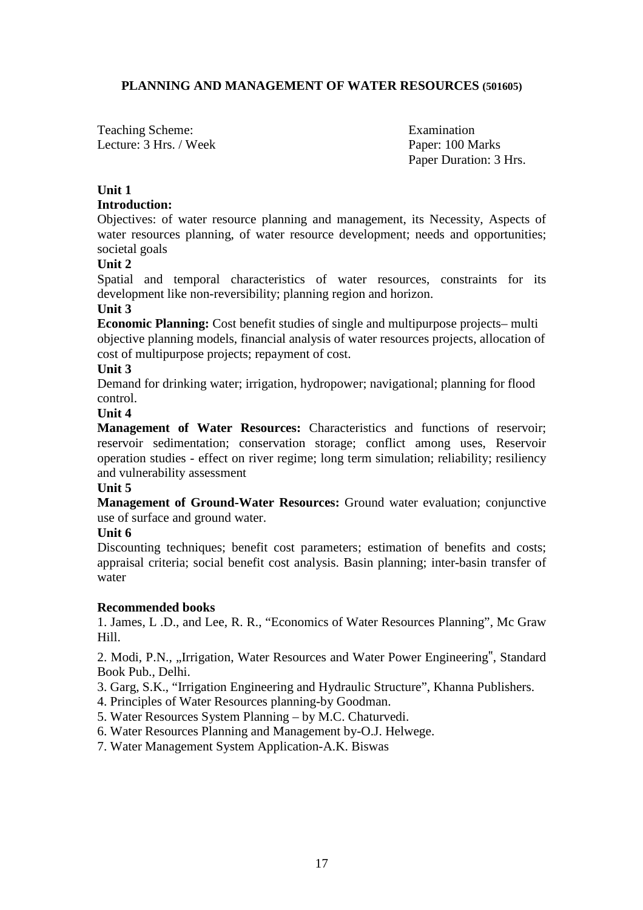### **PLANNING AND MANAGEMENT OF WATER RESOURCES (501605)**

Teaching Scheme: Examination Lecture: 3 Hrs. / Week Paper: 100 Marks

Paper Duration: 3 Hrs.

# **Unit 1**

### **Introduction:**

Objectives: of water resource planning and management, its Necessity, Aspects of water resources planning, of water resource development; needs and opportunities; societal goals

### **Unit 2**

Spatial and temporal characteristics of water resources, constraints for its development like non-reversibility; planning region and horizon.

### **Unit 3**

**Economic Planning:** Cost benefit studies of single and multipurpose projects– multi objective planning models, financial analysis of water resources projects, allocation of cost of multipurpose projects; repayment of cost.

### **Unit 3**

Demand for drinking water; irrigation, hydropower; navigational; planning for flood control.

### **Unit 4**

**Management of Water Resources:** Characteristics and functions of reservoir; reservoir sedimentation; conservation storage; conflict among uses, Reservoir operation studies - effect on river regime; long term simulation; reliability; resiliency and vulnerability assessment

### **Unit 5**

**Management of Ground-Water Resources:** Ground water evaluation; conjunctive use of surface and ground water.

### **Unit 6**

Discounting techniques; benefit cost parameters; estimation of benefits and costs; appraisal criteria; social benefit cost analysis. Basin planning; inter-basin transfer of water

### **Recommended books**

1. James, L .D., and Lee, R. R., "Economics of Water Resources Planning", Mc Graw Hill.

2. Modi, P.N., "Irrigation, Water Resources and Water Power Engineering", Standard Book Pub., Delhi.

3. Garg, S.K., "Irrigation Engineering and Hydraulic Structure", Khanna Publishers.

- 4. Principles of Water Resources planning-by Goodman.
- 5. Water Resources System Planning by M.C. Chaturvedi.
- 6. Water Resources Planning and Management by-O.J. Helwege.
- 7. Water Management System Application-A.K. Biswas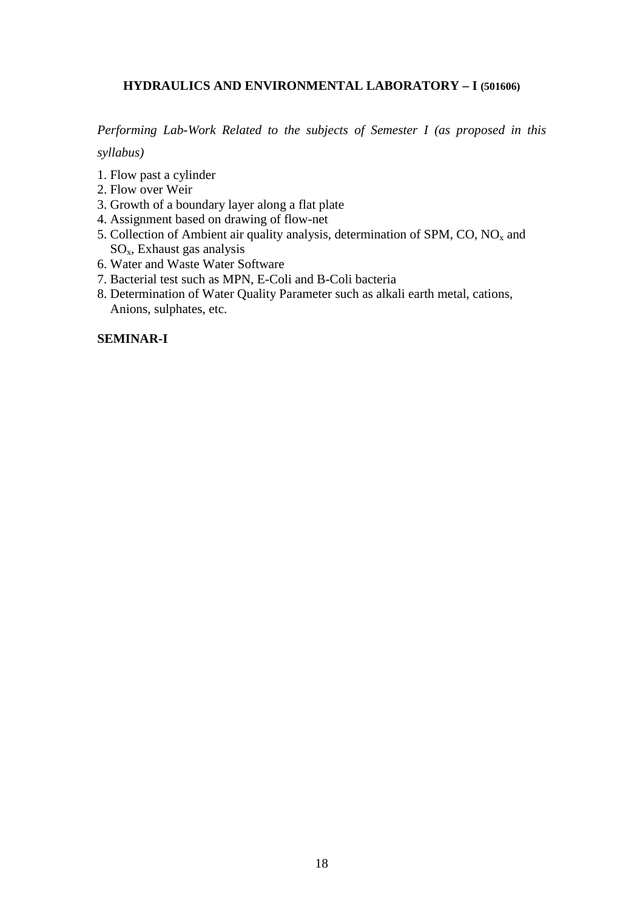# **HYDRAULICS AND ENVIRONMENTAL LABORATORY – I (501606)**

*Performing Lab-Work Related to the subjects of Semester I (as proposed in this* 

*syllabus)* 

- 1. Flow past a cylinder
- 2. Flow over Weir
- 3. Growth of a boundary layer along a flat plate
- 4. Assignment based on drawing of flow-net
- 5. Collection of Ambient air quality analysis, determination of SPM,  $CO$ ,  $NO<sub>x</sub>$  and SOx, Exhaust gas analysis
- 6. Water and Waste Water Software
- 7. Bacterial test such as MPN, E-Coli and B-Coli bacteria
- 8. Determination of Water Quality Parameter such as alkali earth metal, cations, Anions, sulphates, etc.

### **SEMINAR-I**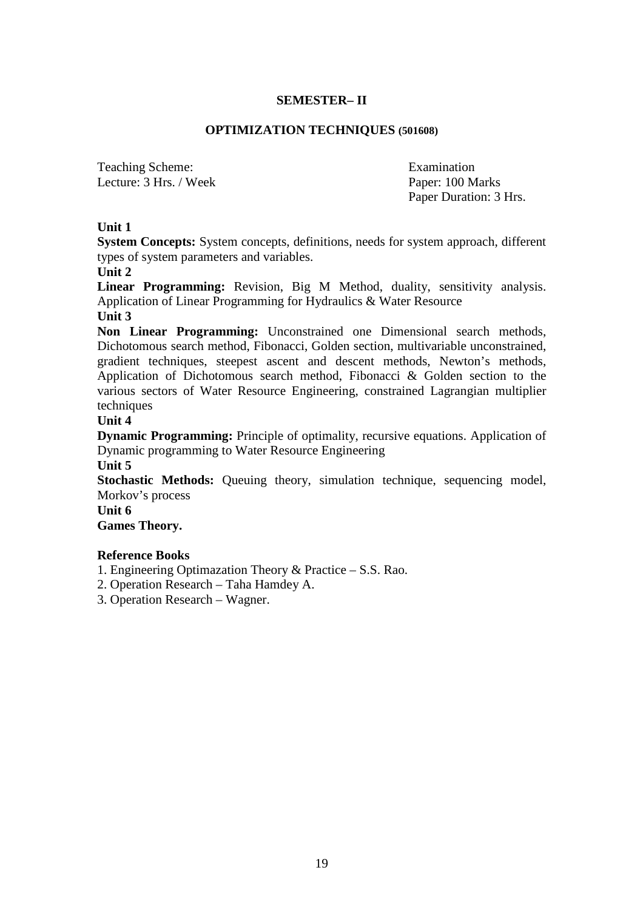### **SEMESTER– II**

### **OPTIMIZATION TECHNIQUES (501608)**

Teaching Scheme: Examination Lecture: 3 Hrs. / Week Paper: 100 Marks

Paper Duration: 3 Hrs.

# **Unit 1**

**System Concepts:** System concepts, definitions, needs for system approach, different types of system parameters and variables.

**Unit 2** 

**Linear Programming:** Revision, Big M Method, duality, sensitivity analysis. Application of Linear Programming for Hydraulics & Water Resource

# **Unit 3**

**Non Linear Programming:** Unconstrained one Dimensional search methods, Dichotomous search method, Fibonacci, Golden section, multivariable unconstrained, gradient techniques, steepest ascent and descent methods, Newton's methods, Application of Dichotomous search method, Fibonacci & Golden section to the various sectors of Water Resource Engineering, constrained Lagrangian multiplier techniques

# **Unit 4**

**Dynamic Programming:** Principle of optimality, recursive equations. Application of Dynamic programming to Water Resource Engineering

### **Unit 5**

**Stochastic Methods:** Queuing theory, simulation technique, sequencing model, Morkov's process

### **Unit 6**

**Games Theory.** 

### **Reference Books**

1. Engineering Optimazation Theory & Practice – S.S. Rao.

- 2. Operation Research Taha Hamdey A.
- 3. Operation Research Wagner.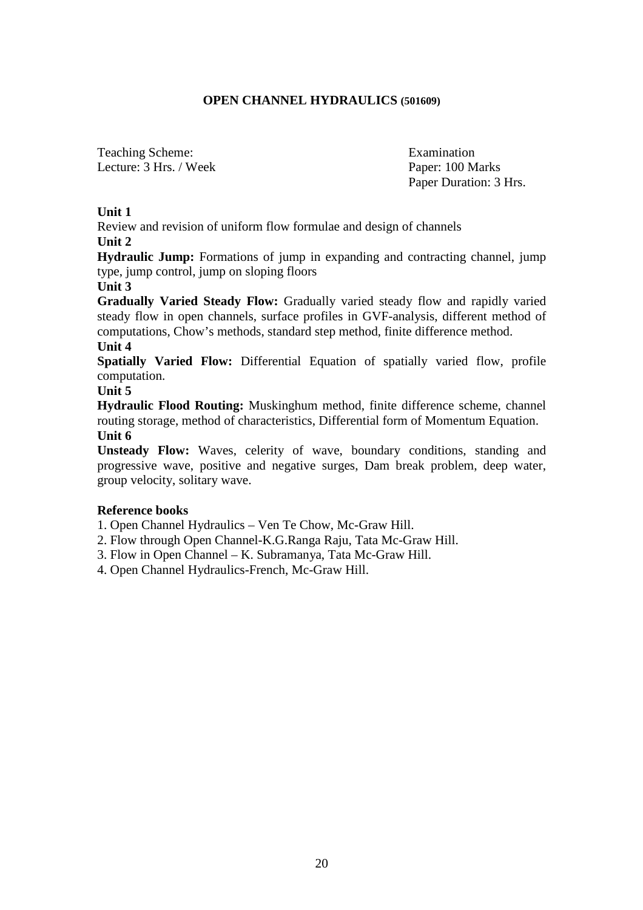### **OPEN CHANNEL HYDRAULICS (501609)**

Teaching Scheme: Examination Lecture: 3 Hrs. / Week Paper: 100 Marks

Paper Duration: 3 Hrs.

### **Unit 1**

Review and revision of uniform flow formulae and design of channels **Unit 2** 

**Hydraulic Jump:** Formations of jump in expanding and contracting channel, jump type, jump control, jump on sloping floors

### **Unit 3**

**Gradually Varied Steady Flow:** Gradually varied steady flow and rapidly varied steady flow in open channels, surface profiles in GVF-analysis, different method of computations, Chow's methods, standard step method, finite difference method.

# **Unit 4**

**Spatially Varied Flow:** Differential Equation of spatially varied flow, profile computation.

**Unit 5** 

**Hydraulic Flood Routing:** Muskinghum method, finite difference scheme, channel routing storage, method of characteristics, Differential form of Momentum Equation. **Unit 6** 

**Unsteady Flow:** Waves, celerity of wave, boundary conditions, standing and progressive wave, positive and negative surges, Dam break problem, deep water, group velocity, solitary wave.

### **Reference books**

1. Open Channel Hydraulics – Ven Te Chow, Mc-Graw Hill.

2. Flow through Open Channel-K.G.Ranga Raju, Tata Mc-Graw Hill.

3. Flow in Open Channel – K. Subramanya, Tata Mc-Graw Hill.

4. Open Channel Hydraulics-French, Mc-Graw Hill.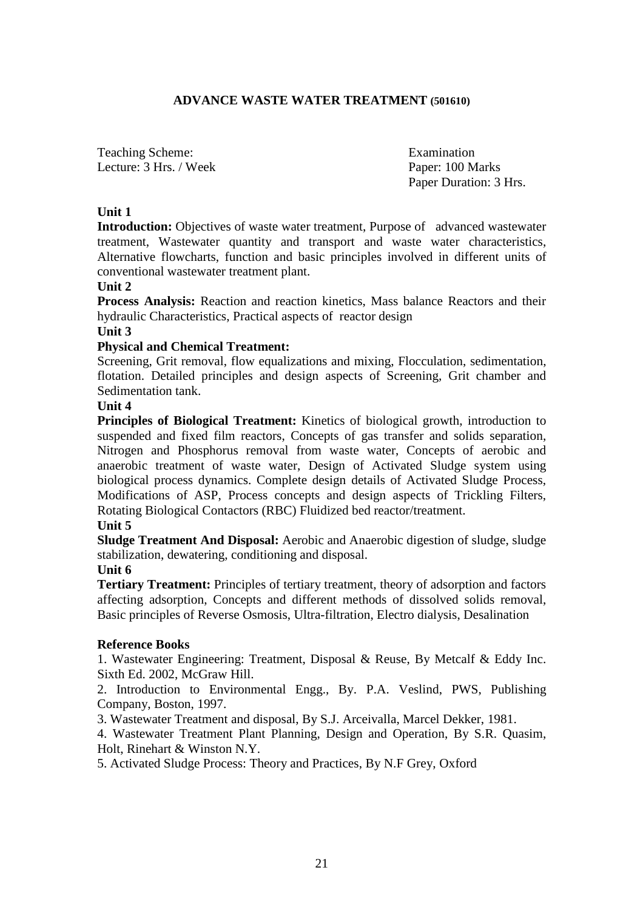### **ADVANCE WASTE WATER TREATMENT (501610)**

Teaching Scheme: Examination Lecture: 3 Hrs. / Week Paper: 100 Marks

Paper Duration: 3 Hrs.

### **Unit 1**

**Introduction:** Objectives of waste water treatment, Purpose of advanced wastewater treatment, Wastewater quantity and transport and waste water characteristics, Alternative flowcharts, function and basic principles involved in different units of conventional wastewater treatment plant.

### **Unit 2**

**Process Analysis:** Reaction and reaction kinetics, Mass balance Reactors and their hydraulic Characteristics, Practical aspects of reactor design

#### **Unit 3**

### **Physical and Chemical Treatment:**

Screening, Grit removal, flow equalizations and mixing, Flocculation, sedimentation, flotation. Detailed principles and design aspects of Screening, Grit chamber and Sedimentation tank.

#### **Unit 4**

**Principles of Biological Treatment:** Kinetics of biological growth, introduction to suspended and fixed film reactors, Concepts of gas transfer and solids separation, Nitrogen and Phosphorus removal from waste water, Concepts of aerobic and anaerobic treatment of waste water, Design of Activated Sludge system using biological process dynamics. Complete design details of Activated Sludge Process, Modifications of ASP, Process concepts and design aspects of Trickling Filters, Rotating Biological Contactors (RBC) Fluidized bed reactor/treatment.

### **Unit 5**

**Sludge Treatment And Disposal:** Aerobic and Anaerobic digestion of sludge, sludge stabilization, dewatering, conditioning and disposal.

### **Unit 6**

**Tertiary Treatment:** Principles of tertiary treatment, theory of adsorption and factors affecting adsorption, Concepts and different methods of dissolved solids removal, Basic principles of Reverse Osmosis, Ultra-filtration, Electro dialysis, Desalination

### **Reference Books**

1. Wastewater Engineering: Treatment, Disposal & Reuse, By Metcalf & Eddy Inc. Sixth Ed. 2002, McGraw Hill.

2. Introduction to Environmental Engg., By. P.A. Veslind, PWS, Publishing Company, Boston, 1997.

3. Wastewater Treatment and disposal, By S.J. Arceivalla, Marcel Dekker, 1981.

4. Wastewater Treatment Plant Planning, Design and Operation, By S.R. Quasim, Holt, Rinehart & Winston N.Y.

5. Activated Sludge Process: Theory and Practices, By N.F Grey, Oxford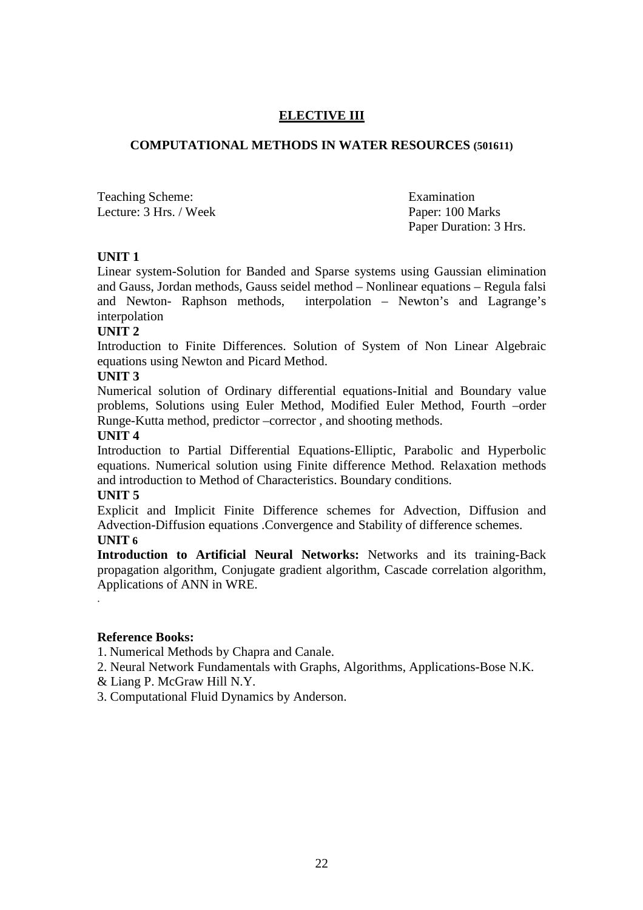### **ELECTIVE III**

### **COMPUTATIONAL METHODS IN WATER RESOURCES (501611)**

Teaching Scheme: Examination Lecture: 3 Hrs. / Week Paper: 100 Marks

Paper Duration: 3 Hrs.

### **UNIT 1**

Linear system-Solution for Banded and Sparse systems using Gaussian elimination and Gauss, Jordan methods, Gauss seidel method – Nonlinear equations – Regula falsi and Newton- Raphson methods, interpolation – Newton's and Lagrange's interpolation

### **UNIT 2**

Introduction to Finite Differences. Solution of System of Non Linear Algebraic equations using Newton and Picard Method.

### **UNIT 3**

Numerical solution of Ordinary differential equations-Initial and Boundary value problems, Solutions using Euler Method, Modified Euler Method, Fourth –order Runge-Kutta method, predictor –corrector , and shooting methods.

### **UNIT 4**

Introduction to Partial Differential Equations-Elliptic, Parabolic and Hyperbolic equations. Numerical solution using Finite difference Method. Relaxation methods and introduction to Method of Characteristics. Boundary conditions.

### **UNIT 5**

Explicit and Implicit Finite Difference schemes for Advection, Diffusion and Advection-Diffusion equations .Convergence and Stability of difference schemes.

### **UNIT 6**

.

**Introduction to Artificial Neural Networks:** Networks and its training-Back propagation algorithm, Conjugate gradient algorithm, Cascade correlation algorithm, Applications of ANN in WRE.

### **Reference Books:**

1. Numerical Methods by Chapra and Canale.

- 2. Neural Network Fundamentals with Graphs, Algorithms, Applications-Bose N.K.
- & Liang P. McGraw Hill N.Y.
- 3. Computational Fluid Dynamics by Anderson.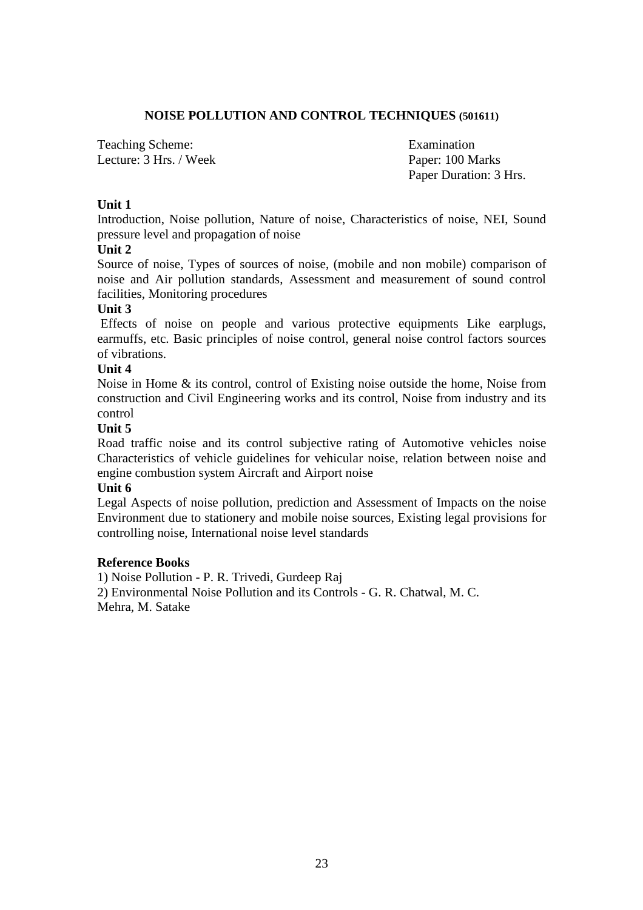### **NOISE POLLUTION AND CONTROL TECHNIQUES (501611)**

Teaching Scheme: Examination Lecture: 3 Hrs. / Week Paper: 100 Marks

Paper Duration: 3 Hrs.

### **Unit 1**

Introduction, Noise pollution, Nature of noise, Characteristics of noise, NEI, Sound pressure level and propagation of noise

### **Unit 2**

Source of noise, Types of sources of noise, (mobile and non mobile) comparison of noise and Air pollution standards, Assessment and measurement of sound control facilities, Monitoring procedures

### **Unit 3**

 Effects of noise on people and various protective equipments Like earplugs, earmuffs, etc. Basic principles of noise control, general noise control factors sources of vibrations.

### **Unit 4**

Noise in Home & its control, control of Existing noise outside the home, Noise from construction and Civil Engineering works and its control, Noise from industry and its control

### **Unit 5**

Road traffic noise and its control subjective rating of Automotive vehicles noise Characteristics of vehicle guidelines for vehicular noise, relation between noise and engine combustion system Aircraft and Airport noise

### **Unit 6**

Legal Aspects of noise pollution, prediction and Assessment of Impacts on the noise Environment due to stationery and mobile noise sources, Existing legal provisions for controlling noise, International noise level standards

### **Reference Books**

1) Noise Pollution - P. R. Trivedi, Gurdeep Raj 2) Environmental Noise Pollution and its Controls - G. R. Chatwal, M. C. Mehra, M. Satake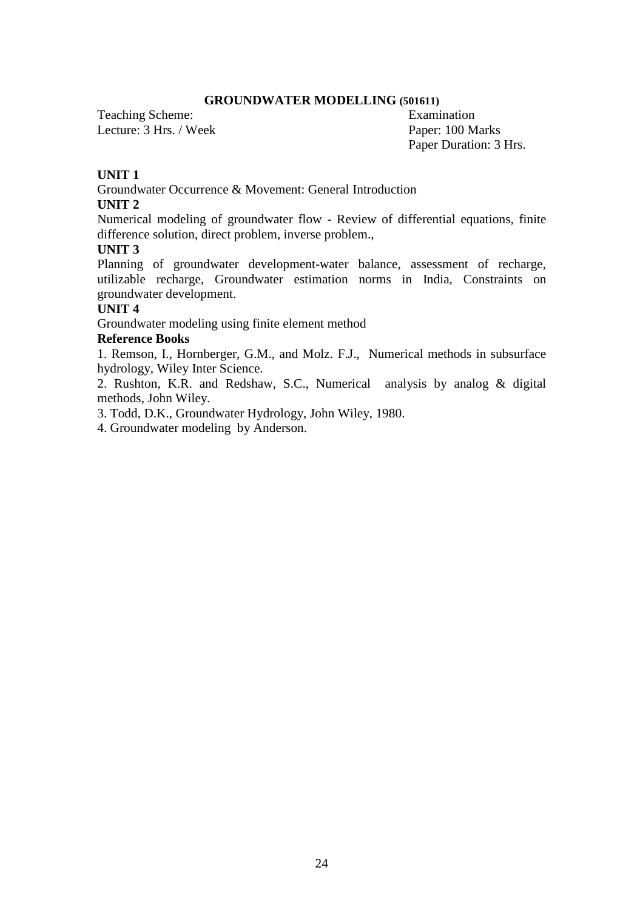#### **GROUNDWATER MODELLING (501611)**

Teaching Scheme: Examination Lecture: 3 Hrs. / Week Paper: 100 Marks

Paper Duration: 3 Hrs.

### **UNIT 1**

Groundwater Occurrence & Movement: General Introduction

### **UNIT 2**

Numerical modeling of groundwater flow - Review of differential equations, finite difference solution, direct problem, inverse problem.,

### **UNIT 3**

Planning of groundwater development-water balance, assessment of recharge, utilizable recharge, Groundwater estimation norms in India, Constraints on groundwater development.

### **UNIT 4**

Groundwater modeling using finite element method

### **Reference Books**

1. Remson, I., Hornberger, G.M., and Molz. F.J., Numerical methods in subsurface hydrology, Wiley Inter Science.

2. Rushton, K.R. and Redshaw, S.C., Numerical analysis by analog & digital methods, John Wiley.

3. Todd, D.K., Groundwater Hydrology, John Wiley, 1980.

4. Groundwater modeling by Anderson.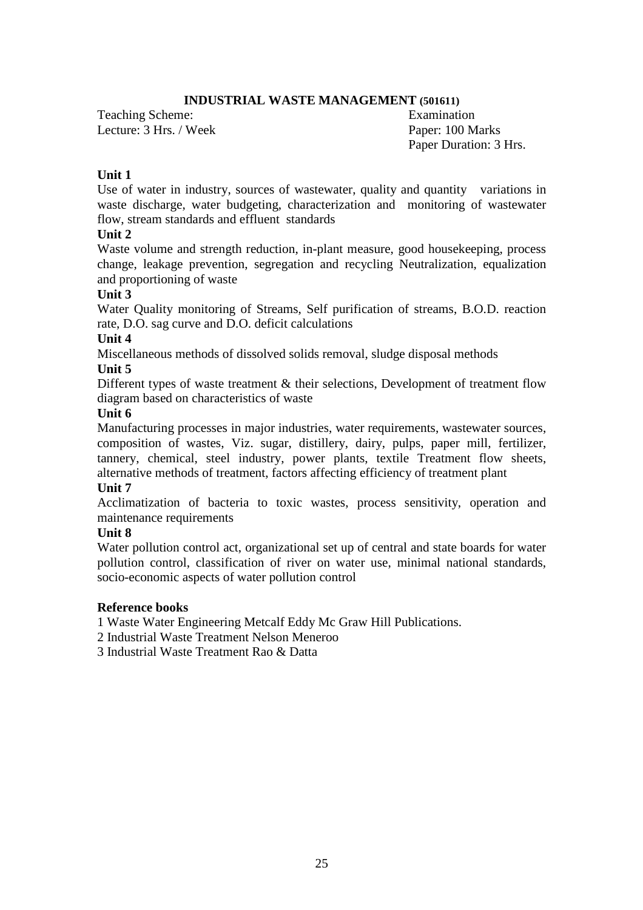### **INDUSTRIAL WASTE MANAGEMENT (501611)**

Teaching Scheme: Examination Lecture: 3 Hrs. / Week Paper: 100 Marks

Paper Duration: 3 Hrs.

### **Unit 1**

Use of water in industry, sources of wastewater, quality and quantity variations in waste discharge, water budgeting, characterization and monitoring of wastewater flow, stream standards and effluent standards

### **Unit 2**

Waste volume and strength reduction, in-plant measure, good housekeeping, process change, leakage prevention, segregation and recycling Neutralization, equalization and proportioning of waste

### **Unit 3**

Water Quality monitoring of Streams, Self purification of streams, B.O.D. reaction rate, D.O. sag curve and D.O. deficit calculations

### **Unit 4**

Miscellaneous methods of dissolved solids removal, sludge disposal methods

# **Unit 5**

Different types of waste treatment & their selections, Development of treatment flow diagram based on characteristics of waste

### **Unit 6**

Manufacturing processes in major industries, water requirements, wastewater sources, composition of wastes, Viz. sugar, distillery, dairy, pulps, paper mill, fertilizer, tannery, chemical, steel industry, power plants, textile Treatment flow sheets, alternative methods of treatment, factors affecting efficiency of treatment plant

### **Unit 7**

Acclimatization of bacteria to toxic wastes, process sensitivity, operation and maintenance requirements

### **Unit 8**

Water pollution control act, organizational set up of central and state boards for water pollution control, classification of river on water use, minimal national standards, socio-economic aspects of water pollution control

### **Reference books**

1 Waste Water Engineering Metcalf Eddy Mc Graw Hill Publications.

2 Industrial Waste Treatment Nelson Meneroo

3 Industrial Waste Treatment Rao & Datta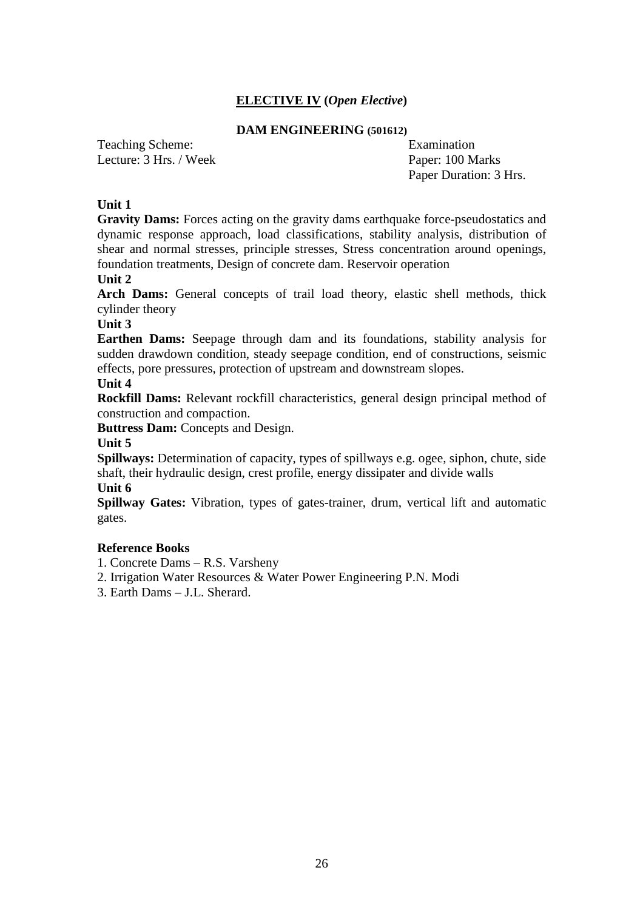# **ELECTIVE IV (***Open Elective***)**

#### **DAM ENGINEERING (501612)**

Teaching Scheme: Examination Lecture: 3 Hrs. / Week Paper: 100 Marks

Paper Duration: 3 Hrs.

#### **Unit 1**

**Gravity Dams:** Forces acting on the gravity dams earthquake force-pseudostatics and dynamic response approach, load classifications, stability analysis, distribution of shear and normal stresses, principle stresses, Stress concentration around openings, foundation treatments, Design of concrete dam. Reservoir operation

**Unit 2** 

Arch Dams: General concepts of trail load theory, elastic shell methods, thick cylinder theory

**Unit 3** 

**Earthen Dams:** Seepage through dam and its foundations, stability analysis for sudden drawdown condition, steady seepage condition, end of constructions, seismic effects, pore pressures, protection of upstream and downstream slopes.

#### **Unit 4**

**Rockfill Dams:** Relevant rockfill characteristics, general design principal method of construction and compaction.

**Buttress Dam:** Concepts and Design.

**Unit 5** 

**Spillways:** Determination of capacity, types of spillways e.g. ogee, siphon, chute, side shaft, their hydraulic design, crest profile, energy dissipater and divide walls

**Unit 6** 

**Spillway Gates:** Vibration, types of gates-trainer, drum, vertical lift and automatic gates.

#### **Reference Books**

1. Concrete Dams – R.S. Varsheny

2. Irrigation Water Resources & Water Power Engineering P.N. Modi

3. Earth Dams – J.L. Sherard.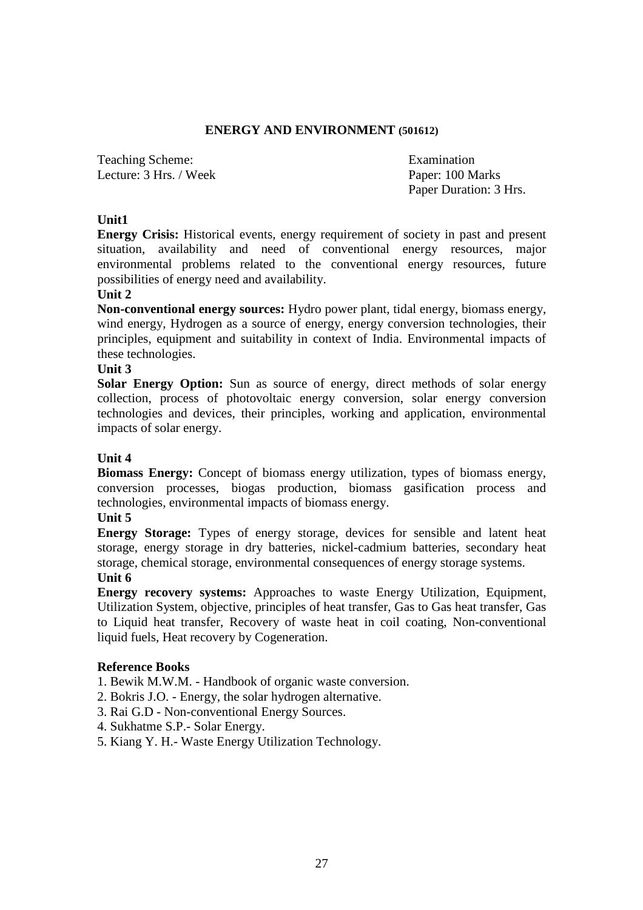### **ENERGY AND ENVIRONMENT (501612)**

Teaching Scheme: Examination Lecture: 3 Hrs. / Week Paper: 100 Marks

Paper Duration: 3 Hrs.

### **Unit1**

**Energy Crisis:** Historical events, energy requirement of society in past and present situation, availability and need of conventional energy resources, major environmental problems related to the conventional energy resources, future possibilities of energy need and availability.

### **Unit 2**

**Non-conventional energy sources:** Hydro power plant, tidal energy, biomass energy, wind energy, Hydrogen as a source of energy, energy conversion technologies, their principles, equipment and suitability in context of India. Environmental impacts of these technologies.

#### **Unit 3**

**Solar Energy Option:** Sun as source of energy, direct methods of solar energy collection, process of photovoltaic energy conversion, solar energy conversion technologies and devices, their principles, working and application, environmental impacts of solar energy.

### **Unit 4**

**Biomass Energy:** Concept of biomass energy utilization, types of biomass energy, conversion processes, biogas production, biomass gasification process and technologies, environmental impacts of biomass energy.

### **Unit 5**

**Energy Storage:** Types of energy storage, devices for sensible and latent heat storage, energy storage in dry batteries, nickel-cadmium batteries, secondary heat storage, chemical storage, environmental consequences of energy storage systems.

### **Unit 6**

**Energy recovery systems:** Approaches to waste Energy Utilization, Equipment, Utilization System, objective, principles of heat transfer, Gas to Gas heat transfer, Gas to Liquid heat transfer, Recovery of waste heat in coil coating, Non-conventional liquid fuels, Heat recovery by Cogeneration.

### **Reference Books**

- 1. Bewik M.W.M. Handbook of organic waste conversion.
- 2. Bokris J.O. Energy, the solar hydrogen alternative.
- 3. Rai G.D Non-conventional Energy Sources.
- 4. Sukhatme S.P.- Solar Energy.
- 5. Kiang Y. H.- Waste Energy Utilization Technology.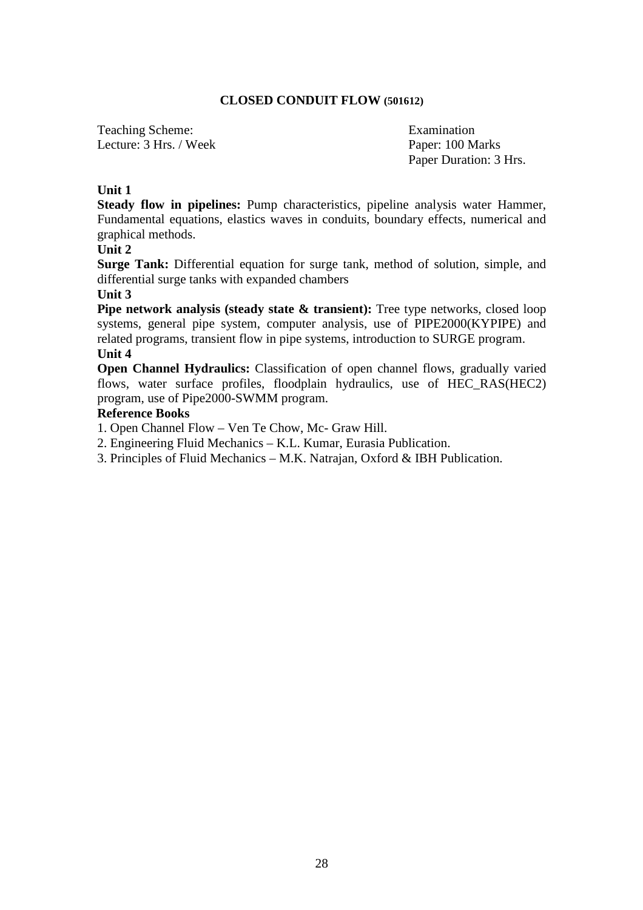### **CLOSED CONDUIT FLOW (501612)**

Teaching Scheme: Examination Lecture: 3 Hrs. / Week Paper: 100 Marks

Paper Duration: 3 Hrs.

### **Unit 1**

**Steady flow in pipelines:** Pump characteristics, pipeline analysis water Hammer, Fundamental equations, elastics waves in conduits, boundary effects, numerical and graphical methods.

### **Unit 2**

**Surge Tank:** Differential equation for surge tank, method of solution, simple, and differential surge tanks with expanded chambers

#### **Unit 3**

**Pipe network analysis (steady state & transient):** Tree type networks, closed loop systems, general pipe system, computer analysis, use of PIPE2000(KYPIPE) and related programs, transient flow in pipe systems, introduction to SURGE program.

# **Unit 4**

**Open Channel Hydraulics:** Classification of open channel flows, gradually varied flows, water surface profiles, floodplain hydraulics, use of HEC\_RAS(HEC2) program, use of Pipe2000-SWMM program.

#### **Reference Books**

- 1. Open Channel Flow Ven Te Chow, Mc- Graw Hill.
- 2. Engineering Fluid Mechanics K.L. Kumar, Eurasia Publication.
- 3. Principles of Fluid Mechanics M.K. Natrajan, Oxford & IBH Publication.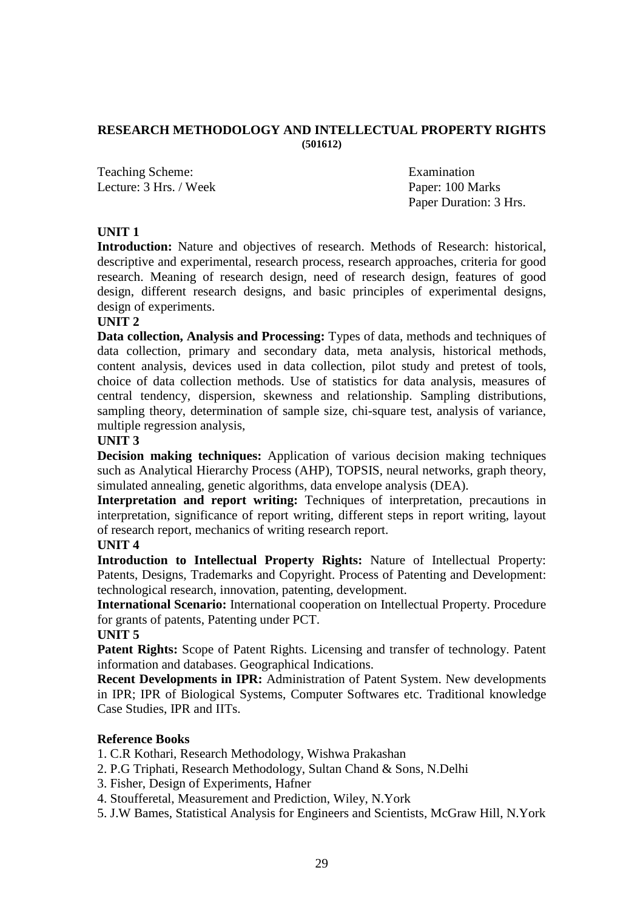#### **RESEARCH METHODOLOGY AND INTELLECTUAL PROPERTY RIGHTS (501612)**

Teaching Scheme: Examination Lecture: 3 Hrs. / Week Paper: 100 Marks

Paper Duration: 3 Hrs.

### **UNIT 1**

**Introduction:** Nature and objectives of research. Methods of Research: historical, descriptive and experimental, research process, research approaches, criteria for good research. Meaning of research design, need of research design, features of good design, different research designs, and basic principles of experimental designs, design of experiments.

### **UNIT 2**

**Data collection, Analysis and Processing:** Types of data, methods and techniques of data collection, primary and secondary data, meta analysis, historical methods, content analysis, devices used in data collection, pilot study and pretest of tools, choice of data collection methods. Use of statistics for data analysis, measures of central tendency, dispersion, skewness and relationship. Sampling distributions, sampling theory, determination of sample size, chi-square test, analysis of variance, multiple regression analysis,

### **UNIT 3**

**Decision making techniques:** Application of various decision making techniques such as Analytical Hierarchy Process (AHP), TOPSIS, neural networks, graph theory, simulated annealing, genetic algorithms, data envelope analysis (DEA).

Interpretation and report writing: Techniques of interpretation, precautions in interpretation, significance of report writing, different steps in report writing, layout of research report, mechanics of writing research report.

### **UNIT 4**

**Introduction to Intellectual Property Rights:** Nature of Intellectual Property: Patents, Designs, Trademarks and Copyright. Process of Patenting and Development: technological research, innovation, patenting, development.

**International Scenario:** International cooperation on Intellectual Property. Procedure for grants of patents, Patenting under PCT.

### **UNIT 5**

Patent Rights: Scope of Patent Rights. Licensing and transfer of technology. Patent information and databases. Geographical Indications.

**Recent Developments in IPR:** Administration of Patent System. New developments in IPR; IPR of Biological Systems, Computer Softwares etc. Traditional knowledge Case Studies, IPR and IITs.

### **Reference Books**

1. C.R Kothari, Research Methodology, Wishwa Prakashan

- 2. P.G Triphati, Research Methodology, Sultan Chand & Sons, N.Delhi
- 3. Fisher, Design of Experiments, Hafner
- 4. Stoufferetal, Measurement and Prediction, Wiley, N.York

5. J.W Bames, Statistical Analysis for Engineers and Scientists, McGraw Hill, N.York